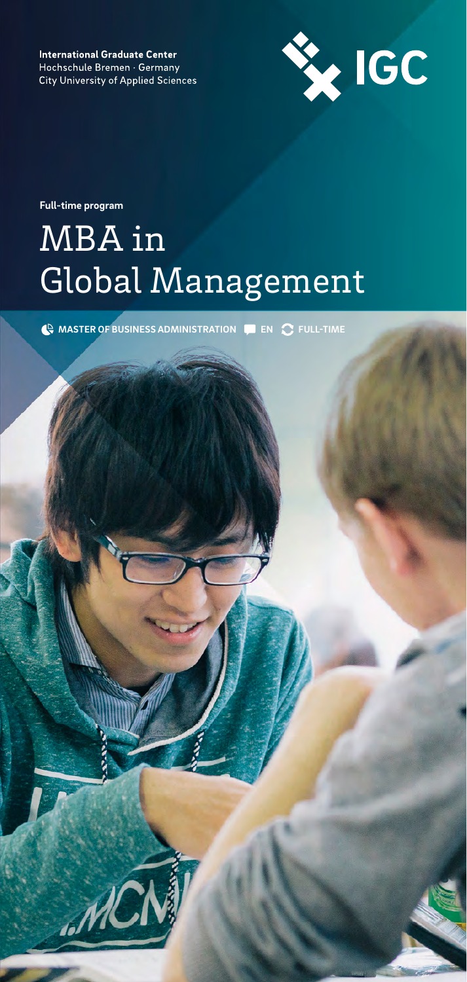**International Graduate Center** Hochschule Bremen · Germany **City University of Applied Sciences** 



**Full-time program**

# MBA in Global Management

**MASTER OF BUSINESS ADMINISTRATION EN FULL-TIME**

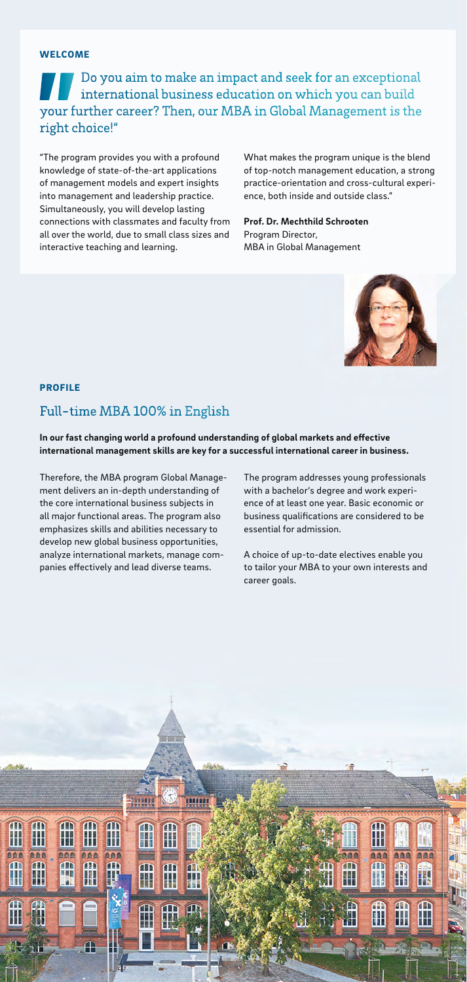#### WELCOME

Do you aim to make an impact and seek for an exceptional international business education on which you can build your further career? Then, our MBA in Global Management is the right choice!"

"The program provides you with a profound knowledge of state-of-the-art applications of management models and expert insights into management and leadership practice. Simultaneously, you will develop lasting connections with classmates and faculty from all over the world, due to small class sizes and interactive teaching and learning.

What makes the program unique is the blend of top-notch management education, a strong practice-orientation and cross-cultural experience, both inside and outside class."

#### **Prof. Dr. Mechthild Schrooten** Program Director,

MBA in Global Management



#### PROFILE

## Full-time MBA 100% in English

In our fast changing world a profound understanding of global markets and effective **international management skills are key for a successful international career in business.** 

Therefore, the MBA program Global Management delivers an in-depth understanding of the core international business subjects in all major functional areas. The program also emphasizes skills and abilities necessary to develop new global business opportunities, analyze international markets, manage companies effectively and lead diverse teams.

The program addresses young professionals with a bachelor's degree and work experience of at least one year. Basic economic or business qualifications are considered to be essential for admission.

A choice of up-to-date electives enable you to tailor your MBA to your own interests and career goals.

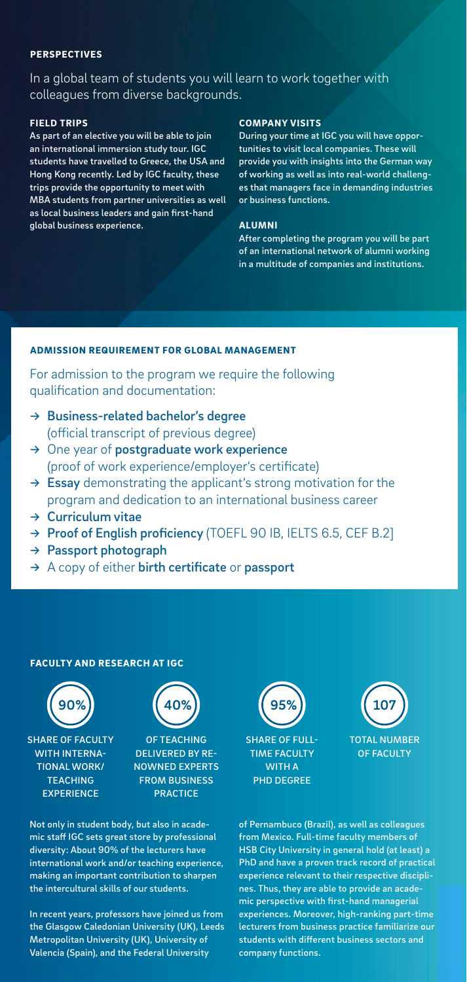#### PERSPECTIVES

In a global team of students you will learn to work together with colleagues from diverse backgrounds.

#### FIELD TRIPS

As part of an elective you will be able to join an international immersion study tour. IGC students have travelled to Greece, the USA and Hong Kong recently. Led by IGC faculty, these trips provide the opportunity to meet with MBA students from partner universities as well as local business leaders and gain first-hand global business experience.

#### COMPANY VISITS

During your time at IGC you will have opportunities to visit local companies. These will provide you with insights into the German way of working as well as into real-world challenges that managers face in demanding industries or business functions.

#### ALUMNI

After completing the program you will be part of an international network of alumni working in a multitude of companies and institutions.

### ADMISSION REQUIREMENT FOR GLOBAL MANAGEMENT

For admission to the program we require the following qualification and documentation:

- $\rightarrow$  Business-related bachelor's degree (official transcript of previous degree)
- → One year of postgraduate work experience (proof of work experience/employer's certificate)
- $\rightarrow$  Essay demonstrating the applicant's strong motivation for the program and dedication to an international business career
- → Curriculum vitae
- → Proof of English proficiency (TOEFL 90 IB, IELTS 6.5, CEF B.2]
- → Passport photograph
- $\rightarrow$  A copy of either birth certificate or passport

#### FACULTY AND RESEARCH AT IGC



SHARE OF FACULTY WITH INTERNA-TIONAL WORK/ **TEACHING EXPERIENCE** 



OF TEACHING DELIVERED BY RE-NOWNED EXPERTS FROM BUSINESS **PRACTICE** 

Not only in student body, but also in academic staff IGC sets great store by professional diversity: About 90% of the lecturers have international work and/or teaching experience, making an important contribution to sharpen the intercultural skills of our students.

In recent years, professors have joined us from the Glasgow Caledonian University (UK), Leeds Metropolitan University (UK), University of Valencia (Spain), and the Federal University





of Pernambuco (Brazil), as well as colleagues from Mexico. Full-time faculty members of HSB City University in general hold (at least) a PhD and have a proven track record of practical experience relevant to their respective disciplines. Thus, they are able to provide an academic perspective with first-hand managerial experiences. Moreover, high-ranking part-time lecturers from business practice familiarize our students with different business sectors and company functions.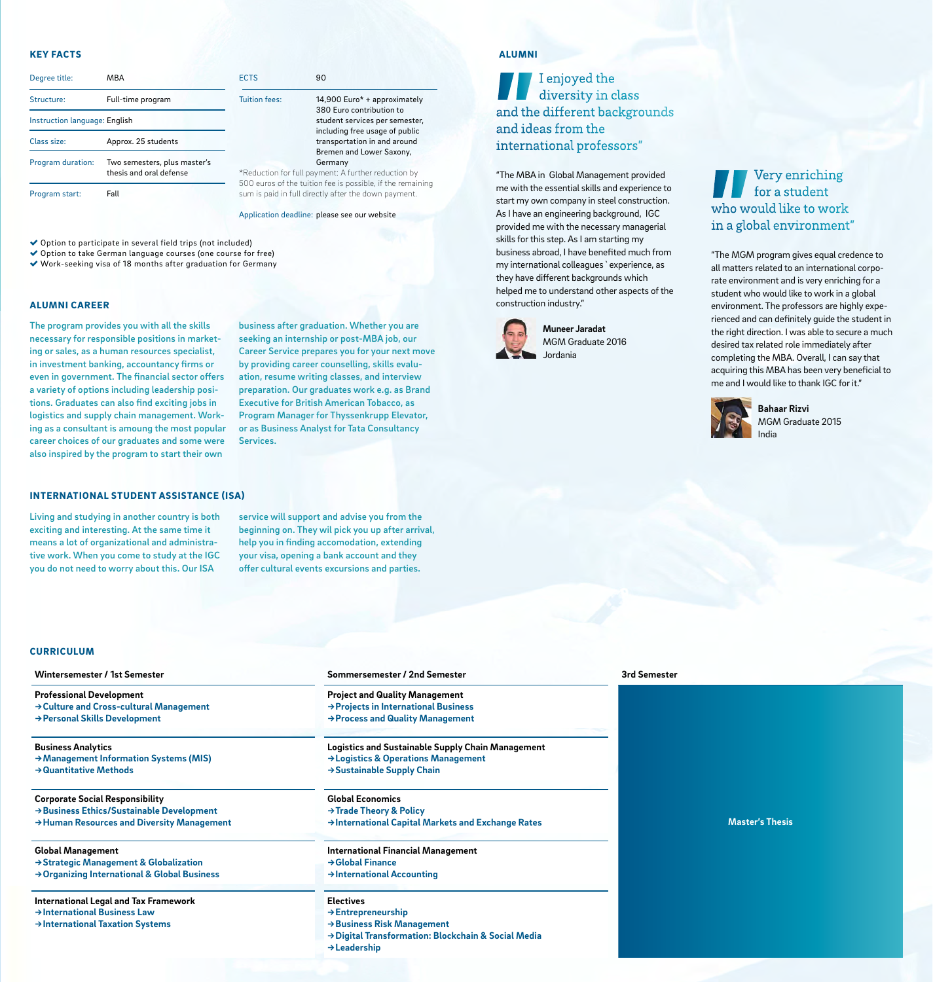#### KEY FACTS

| Degree title:                 | MBA                                                     | <b>ECTS</b>                            |
|-------------------------------|---------------------------------------------------------|----------------------------------------|
| Structure:                    | Full-time program                                       | <b>Tuition fees:</b>                   |
| Instruction language: English |                                                         |                                        |
| Class size:                   | Approx. 25 students                                     |                                        |
| Program duration:             | Two semesters, plus master's<br>thesis and oral defense | *Reduction for fu                      |
| Program start:                | Fall                                                    | 500 euros of the<br>sum is paid in ful |

 $14.900$  Euro\* + approximately 380 Euro contribution to student services per semester, including free usage of public transportation in and around Bremen and Lower Saxony, Germany Ill payment: A further reduction by tuition fee is possible, if the remaining

Il directly after the down payment.

Application deadline: please see our website

 $90$ 

Option to participate in several field trips (not included)

 Option to take German language courses (one course for free) Work-seeking visa of 18 months after graduation for Germany

#### ALUMNI CAREER

The program provides you with all the skills necessary for responsible positions in marketing or sales, as a human resources specialist, in investment banking, accountancy firms or even in government. The financial sector offers a variety of options including leadership positions. Graduates can also find exciting jobs in logistics and supply chain management. Working as a consultant is amoung the most popular career choices of our graduates and some were also inspired by the program to start their own

business after graduation. Whether you are seeking an internship or post-MBA job, our Career Service prepares you for your next move by providing career counselling, skills evaluation, resume writing classes, and interview preparation. Our graduates work e.g. as Brand Executive for British American Tobacco, as Program Manager for Thyssenkrupp Elevator, or as Business Analyst for Tata Consultancy Services.

#### INTERNATIONAL STUDENT ASSISTANCE (ISA)

Living and studying in another country is both exciting and interesting. At the same time it means a lot of organizational and administrative work. When you come to study at the IGC you do not need to worry about this. Our ISA

service will support and advise you from the beginning on. They wil pick you up after arrival, help you in finding accomodation, extending your visa, opening a bank account and they offer cultural events excursions and parties.

#### ALUMNI

# I enjoyed the diversity in class and the different backgrounds and ideas from the international professors"

"The MBA in Global Management provided me with the essential skills and experience to start my own company in steel construction. As I have an engineering background, IGC provided me with the necessary managerial skills for this step. As I am starting my business abroad, I have benefited much from my international colleagues`experience, as they have different backgrounds which helped me to understand other aspects of the construction industry."



**Muneer Jaradat**  MGM Graduate 2016 Jordania

Very enriching for a student who would like to work in a global environment"

"The MGM program gives equal credence to all matters related to an international corporate environment and is very enriching for a student who would like to work in a global environment. The professors are highly experienced and can definitely guide the student in the right direction. I was able to secure a much desired tax related role immediately after completing the MBA. Overall, I can say that acquiring this MBA has been very beneficial to me and I would like to thank IGC for it."



**Bahaar Rizvi** MGM Graduate 2015 India

#### **CURRICULUM**

**→ International Taxation Systems** 

| Wintersemester / 1st Semester                      | Sommersemester / 2nd Semester                      |  |
|----------------------------------------------------|----------------------------------------------------|--|
| <b>Professional Development</b>                    | <b>Project and Quality Management</b>              |  |
| → Culture and Cross-cultural Management            | → Projects in International Business               |  |
| → Personal Skills Development                      | → Process and Quality Management                   |  |
| <b>Business Analytics</b>                          | Logistics and Sustainable Supply Chain Management  |  |
| → Management Information Systems (MIS)             | → Logistics & Operations Management                |  |
| $\rightarrow$ Quantitative Methods                 | $\rightarrow$ Sustainable Supply Chain             |  |
| <b>Corporate Social Responsibility</b>             | <b>Global Economics</b>                            |  |
| → Business Ethics/Sustainable Development          | $\rightarrow$ Trade Theory & Policy                |  |
| → Human Resources and Diversity Management         | → International Capital Markets and Exchange Rates |  |
| <b>Global Management</b>                           | <b>International Financial Management</b>          |  |
| $\rightarrow$ Strategic Management & Globalization | $\rightarrow$ Global Finance                       |  |
| → Organizing International & Global Business       | $\rightarrow$ International Accounting             |  |
| <b>International Legal and Tax Framework</b>       | <b>Electives</b>                                   |  |
| $\rightarrow$ International Business Law           | $\rightarrow$ Entrepreneurship                     |  |

**→ Business Risk Management**

**→ Leadership**

**→ Digital Transformation: Blockchain & Social Media**

**3rd Semester**

**Master's Thesis**